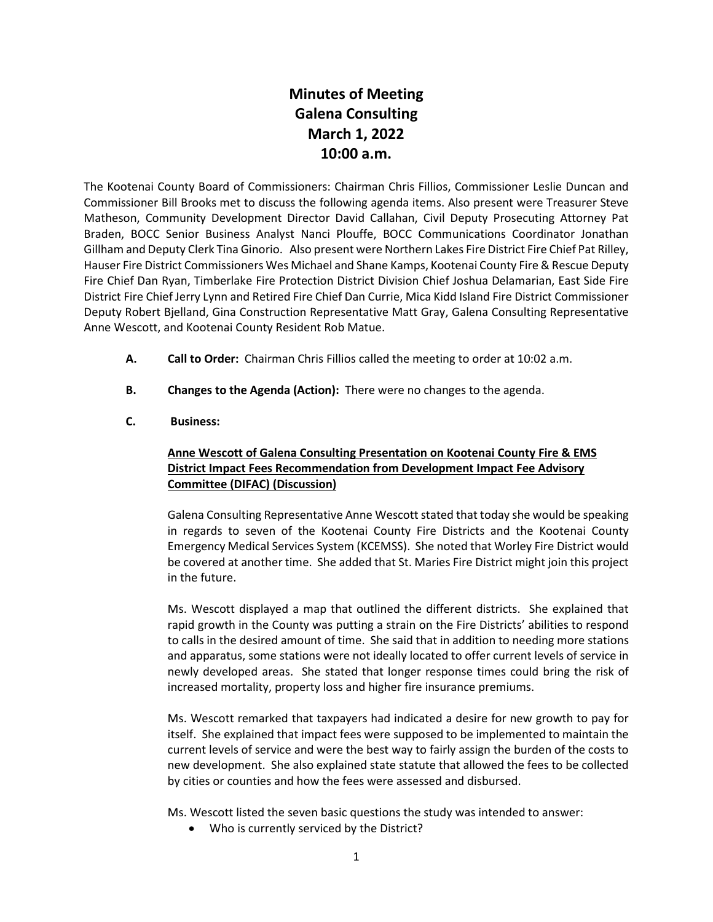## **Minutes of Meeting Galena Consulting March 1, 2022 10:00 a.m.**

The Kootenai County Board of Commissioners: Chairman Chris Fillios, Commissioner Leslie Duncan and Commissioner Bill Brooks met to discuss the following agenda items. Also present were Treasurer Steve Matheson, Community Development Director David Callahan, Civil Deputy Prosecuting Attorney Pat Braden, BOCC Senior Business Analyst Nanci Plouffe, BOCC Communications Coordinator Jonathan Gillham and Deputy Clerk Tina Ginorio. Also present were Northern Lakes Fire District Fire Chief Pat Rilley, Hauser Fire District Commissioners Wes Michael and Shane Kamps, Kootenai County Fire & Rescue Deputy Fire Chief Dan Ryan, Timberlake Fire Protection District Division Chief Joshua Delamarian, East Side Fire District Fire Chief Jerry Lynn and Retired Fire Chief Dan Currie, Mica Kidd Island Fire District Commissioner Deputy Robert Bjelland, Gina Construction Representative Matt Gray, Galena Consulting Representative Anne Wescott, and Kootenai County Resident Rob Matue.

- **A. Call to Order:** Chairman Chris Fillios called the meeting to order at 10:02 a.m.
- **B. Changes to the Agenda (Action):** There were no changes to the agenda.
- **C. Business:**

## **Anne Wescott of Galena Consulting Presentation on Kootenai County Fire & EMS District Impact Fees Recommendation from Development Impact Fee Advisory Committee (DIFAC) (Discussion)**

Galena Consulting Representative Anne Wescott stated that today she would be speaking in regards to seven of the Kootenai County Fire Districts and the Kootenai County Emergency Medical Services System (KCEMSS). She noted that Worley Fire District would be covered at another time. She added that St. Maries Fire District might join this project in the future.

Ms. Wescott displayed a map that outlined the different districts. She explained that rapid growth in the County was putting a strain on the Fire Districts' abilities to respond to calls in the desired amount of time. She said that in addition to needing more stations and apparatus, some stations were not ideally located to offer current levels of service in newly developed areas. She stated that longer response times could bring the risk of increased mortality, property loss and higher fire insurance premiums.

Ms. Wescott remarked that taxpayers had indicated a desire for new growth to pay for itself. She explained that impact fees were supposed to be implemented to maintain the current levels of service and were the best way to fairly assign the burden of the costs to new development. She also explained state statute that allowed the fees to be collected by cities or counties and how the fees were assessed and disbursed.

Ms. Wescott listed the seven basic questions the study was intended to answer:

• Who is currently serviced by the District?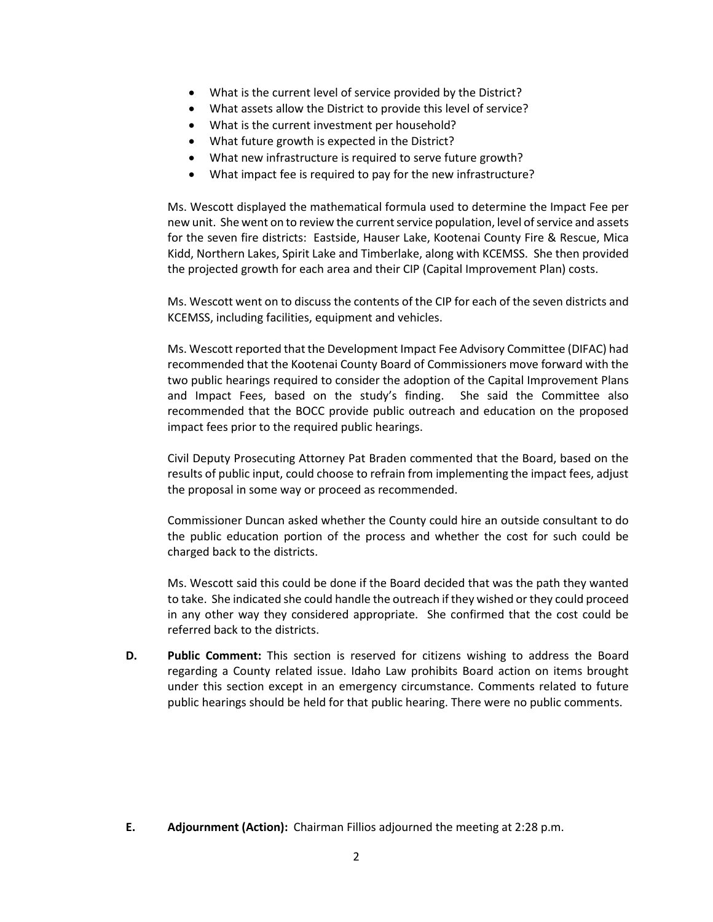- What is the current level of service provided by the District?
- What assets allow the District to provide this level of service?
- What is the current investment per household?
- What future growth is expected in the District?
- What new infrastructure is required to serve future growth?
- What impact fee is required to pay for the new infrastructure?

Ms. Wescott displayed the mathematical formula used to determine the Impact Fee per new unit. She went on to review the current service population, level of service and assets for the seven fire districts: Eastside, Hauser Lake, Kootenai County Fire & Rescue, Mica Kidd, Northern Lakes, Spirit Lake and Timberlake, along with KCEMSS. She then provided the projected growth for each area and their CIP (Capital Improvement Plan) costs.

Ms. Wescott went on to discuss the contents of the CIP for each of the seven districts and KCEMSS, including facilities, equipment and vehicles.

Ms. Wescott reported that the Development Impact Fee Advisory Committee (DIFAC) had recommended that the Kootenai County Board of Commissioners move forward with the two public hearings required to consider the adoption of the Capital Improvement Plans and Impact Fees, based on the study's finding. She said the Committee also recommended that the BOCC provide public outreach and education on the proposed impact fees prior to the required public hearings.

Civil Deputy Prosecuting Attorney Pat Braden commented that the Board, based on the results of public input, could choose to refrain from implementing the impact fees, adjust the proposal in some way or proceed as recommended.

Commissioner Duncan asked whether the County could hire an outside consultant to do the public education portion of the process and whether the cost for such could be charged back to the districts.

Ms. Wescott said this could be done if the Board decided that was the path they wanted to take. She indicated she could handle the outreach if they wished or they could proceed in any other way they considered appropriate. She confirmed that the cost could be referred back to the districts.

**D. Public Comment:** This section is reserved for citizens wishing to address the Board regarding a County related issue. Idaho Law prohibits Board action on items brought under this section except in an emergency circumstance. Comments related to future public hearings should be held for that public hearing. There were no public comments.

**E. Adjournment (Action):** Chairman Fillios adjourned the meeting at 2:28 p.m.